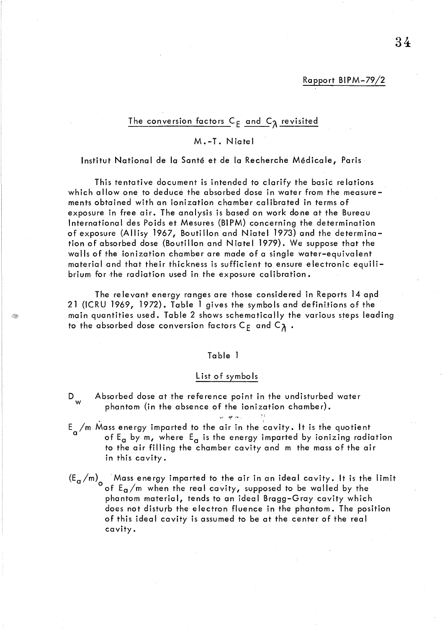Rapport BIPM-79/2

# The conversion factors  $C_F$  and  $C_{\lambda}$  revisited

# M.-T. Niatel

Institut National de la Santé et de la Recherche Médicale, Paris

This tentative document is intended to clarify the basic relations which allow one to deduce the absorbed dose in water from the measurements obtained with an ionization chamber calibrated in terms of exposure in free air. The analysis is based on work done at the Bureau International des Poids et Mesures (BIPM) concerning the determination of exposure (Allisy 1967, Boutillon and Niatel 1973) and the determination of absorbed dose (Boutillon and Niatel 1979). We suppose that the walls of the ionization chamber are made of a single water-equivalent material and that their thickness is sufficient to ensure electronic equilibrium for the radiation used in the exposure calibration.

The relevant energy ranges are those considered in Reports 14 and 21 (ICRU 1969, 1972). Table 1 gives the symbols and definitions of the main quantities used. Table 2 shows schematically the various steps leading to the absorbed dose conversion factors  $C_F$  and  $C_A$ .

## Table 1

# List of symbols

D w Absorbed dose at the reference point in the undisturbed water phantom (in the absence of the ionization chamber).

 $E_{\alpha}$ /m Mass energy imparted to the air in the cavity. It is the quotient of  $E_a$  by m, where  $E_a$  is the energy imparted by ionizing radiation to the air filling the chamber cavity and m the mass of the air in this cavity.

 $\omega=\frac{1}{2} \theta^2/m_{\pi}$  .

(E<sub>a</sub>/m) Mass energy imparted to the air in an ideal cavity. It is the limit  $^{\circ}$  of E<sub>a</sub> /m when the real cavity, supposed to be walled by the phantom material, tends to an ideal Bragg-Gray cavity which does not disturb the electron fluence in the phantom. The position of this ideal cavity is assumed to be at the center of the real cavity.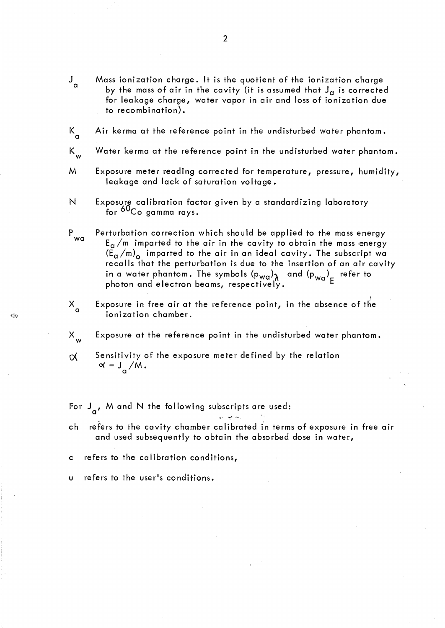- $\kappa_{_{\bf a}}$ Air kerma at the reference point in the undisturbed water phantom.
- K w Water kerma at the reference point in the undisturbed water phantom.
- M Exposure meter reading corrected for temperature, pressure, humidity, leakage and lack of saturation voltage.
- N Exposure calibration factor given by a standardizing laboratory for <sup>60</sup>Co gamma rays.

p<br>wa Perturbation correction which should be applied to the mass energy  $E_{\alpha}$ /m imparted to the air in the cavity to obtain the mass energy  $(E_{\alpha}/m)_{\alpha}$  imparted to the air in an ideal cavity. The subscript wa recalls that the perturbation is due to the insertion of an air cavity in a water phantom. The symbols  $(p_{wa})_{\hat{A}}$  and  $(p_{wa})_{\hat{F}}$  refer to photon and electron beams, respectively.

- $x_a^{\prime}$ Exposure in free air at the reference point, in the absence of the  $\sqrt[t]{\epsilon}$ ioni zation chamber.
- x w Exposure at the reference point in the undisturbed water phantom.
- Sensitivity of the exposure meter defined by the relation  $\alpha$  $\alpha = J_{\alpha}/M$ .

For  $J_{\omega}$ , M and N the following subscripts are used: a ": '4 <sup>J</sup>"'! .'".

- ch refers to the cavity chamber calibrated in terms of exposure in free air and used subsequently to obtain the absorbed dose in water,
- c refers to the calibration conditions,
- u refers to the user's conditions.

J a

2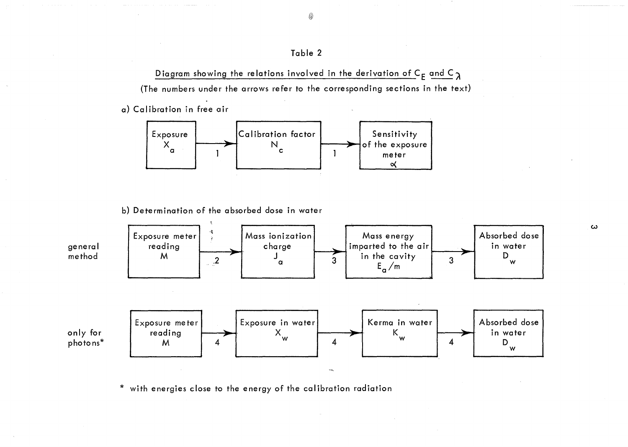

Diagram showing the relations involved in the derivation of  $C_F$  and  $C_{\lambda}$ (The numbers under the arrows refer to the corresponding sections in the text)

a) Calibration in free air



b) Determination of the absorbed dose in water



\* with energies close to the energy of the calibration radiation

 $\boldsymbol{\omega}$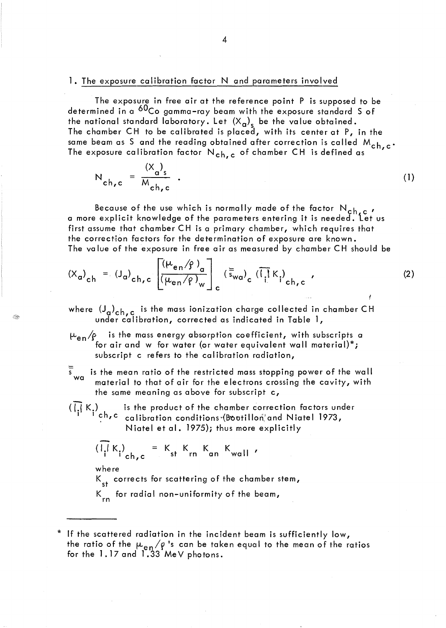## 1. The exposure calibration factor N and parameters involved

The exposure in free air at the reference point P is supposed to be determined in a <sup>60</sup>Co gamma-ray beam with the exposure standard S of the national standard laboratory. Let  $(X_{\mathbf{q}})_{s}$  be the value obtained. The chamber CH to be calibrated is placed, with its center at P, in the same beam as S and the reading obtained after correction is called  $M_{ch,c}$ . The exposure calibration factor  $N_{ch,c}$  of chamber CH is defined as

$$
N_{ch,c} = \frac{(X_a)_s}{M_{ch,c}} \quad . \tag{1}
$$

Because of the use which is normally made of the factor  $N_{ch,c}$ , a more explicit knowledge of the parameters entering it is needed. Let us first assume that chamber CH is a primary chamber, which requires that the correction factors for the determination of exposure are known.

The value of the exposure in free air as measured by chamber CH should be  
\n
$$
(X_{\alpha})_{ch} = (J_{\alpha})_{ch,c} \left[ \frac{(\mu_{en}/\rho)_{\alpha}}{(\mu_{en}/\rho)_{W}} \right]_{c} (\overline{\overline{s}}_{Wa})_{c} (\overline{I_{i}} K_{i})_{ch,c}
$$
\n(2)

where  $(J_{\mathbf{a}})_{\mathbf{c} \mathbf{h} \text{ , } \mathbf{c}}$  is the mass ionization charge collected in chamber CH under calibration, corrected as indicated in Table 1,

 $\mu_{en}/\rho$  is the mass energy absorption coefficient, with subscripts a for air and w for water (or water equivalent wall material)\*; subscript c refers to the calibration radiation,

s is the mean ratio of the restricted mass stopping power of the wall wall material to that of air for the electrons crossing the cavity, with the same meaning as above for subscript c,

 $(\prod_{i} K_{i})$  is the product of the chamber correction factors under  $\binom{n}{k}$  ch,c calibration conditions (Boritillon and Niatel 1973. ca libration conditions (Boutillon,' and Niatel 1973, Niatel et al. 1975); thus more explicitly

$$
\left(\begin{matrix} | & | & K \end{matrix}\right)_{ch,c} = K_{st} K_{rn} K_{an} K_{wall}
$$

where

 $\mathcal{G}^{\otimes n}$ 

 $K<sub>st</sub>$  corrects for scattering of the chamber stem,

K<sub>rn</sub> for radial non-uniformity of the beam**,** 

If the scattered radiation in the incident beam is sufficiently low, the ratio of the  $\mu_{en}/\rho$  's can be taken equal to the mean of the ratios for the 1.17 and 1.33 MeV photons.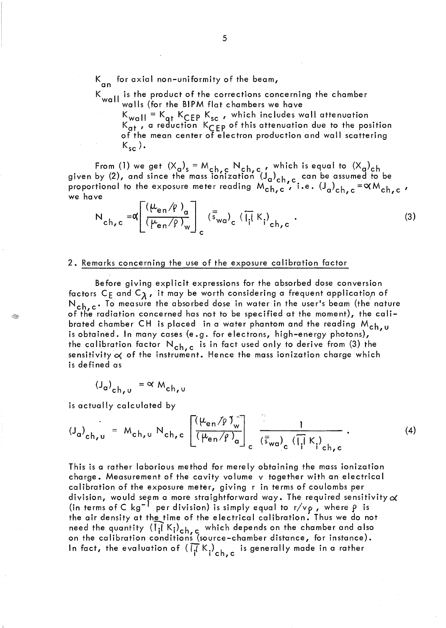$K_{\alpha n}$  for axial non-uniformity of the beam,

K<sub>wall</sub> is the product of the corrections concerning the chamber walls (for the BIPM flat chambers we have

 $K_{wall} = K_{qt} K_{CEP} K_{sc}$ , which includes wall attenuation  $K_{\alpha t}$ , a reduction  $K_{\alpha}$  ep of this attenuation due to the position of the mean center of electron production and wall scattering  $K_{sc}$ ).

From (1) we get  $(X_{\mathbf{q}})_{\mathbf{s}} = M_{\mathbf{c}} h$ ,  $_{\mathbf{c}} N_{\mathbf{c}} h$ ,  $_{\mathbf{c}}$  , which is equal to  $(X_{\mathbf{q}})_{\mathbf{c}} h$ given by (2), and since the mass ionization  $\left(J_{\alpha}\right)_{\rm ch.c.}$  can be assumed to be proportional to the exposure meter reading  $M_{\rm ch,c}$  , i.e.  $\left(J_{\rm a}\right)_{\rm ch,c}$  =  $\propto$  M  $_{\rm ch,c}$  , we have

$$
N_{ch,c} = \alpha \left[ \frac{(\mu_{en}/\rho)_\alpha}{(\mu_{en}/\rho)_w} \right]_c (\overline{\overline{s}}_{wa})_c (\overline{I_1} K_1)_{ch,c}.
$$
 (3)

#### 2. Remarks concerning the use of the exposure calibration factor

Before giving explicit expressions for the absorbed dose conversion factors C<sub>E</sub> and C<sub> $\lambda$ </sub>, it may be worth considering a frequent application of  $N_{ch,c}$ . To measure the absorbed dose in water in the user's beam (the nature of the radiation concerned has not to be specified at the moment), the calibrated chamber CH is placed in a water phantom and the reading  $M_{ch, u}$ is obtained. In many cases (e.g. for electrons, high-energy photons), the calibration factor  $N_{ch,c}$  is in fact used only to derive from (3) the sensitivity  $\alpha$  of the instrument. Hence the mass ionization charge which is defined as

$$
(J_{\alpha})_{ch, \nu} = \alpha M_{ch, \nu}
$$

is actually calculated by

 $\langle \rangle$ 

$$
(J_{\mathbf{a}})_{\mathbf{c}\mathbf{h},\mathbf{u}} = M_{\mathbf{c}\mathbf{h},\mathbf{u}} N_{\mathbf{c}\mathbf{h},\mathbf{c}} \left[ \frac{(\mu_{\mathbf{e}\mathbf{n}}/\rho)_{\mathbf{w}}^{\mathbf{T}}}{(\mu_{\mathbf{e}\mathbf{n}}/\rho)_{\mathbf{a}}^{\mathbf{T}}}\right]_{\mathbf{c}} \frac{1}{(\bar{s}_{\mathbf{w}\mathbf{a}})_{\mathbf{c}} (\bar{l}_{\mathbf{q}}^{\mathbf{T}} K_{\mathbf{l}})}.
$$
 (4)

This is a rather laborious method for merely obtaining the mass ionization charge. Measurement of the cavity volume v together with an electrical calibration of the exposure meter, giving r in terms of coulombs per division, would seem a more straightforward way. The required sensitivity  $\propto$ (in terms of C kg<sup>-1</sup> per division) is simply equal to  $\mathsf{r}/\mathsf{v}_{\rho}$  , where  $\rho$  is the air density at the time of the electrical calibration. Thus we do not need the quantity  $(\left[\hat{A}K_i\right]_{ch,c}$  which depends on the chamber and also on the calibration conditions (source-chamber distance, for instance). In fact, the evaluation of  $(\prod\limits_i K_i)_{\ch,c}$  is generally made in a rather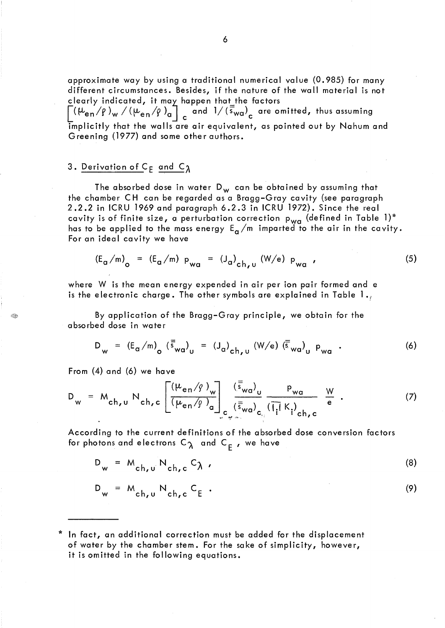approximate way by using a traditional numerical value (0.985) for many different circumstances. Besides, if the nature of the wall material is not clearly indicated, it may happen that the factors  $\left[\left(\mu_{\texttt{en}}/\rho\right)_{\texttt{w}}/\left(\mu_{\texttt{en}}/\rho\right)_{\texttt{a}}\right]_{\texttt{c}}$  and  $1/\left(\overline{\overline{s}}_{\texttt{wa}}\right)_{\texttt{c}}$  are omitted, thus assuming implicitly that the walls are air equivalent, as pointed out by Nahum and Greening (1977) and some other authors.

# 3. Derivation of  $C_E$  and  $C_A$

The absorbed dose in water  $D_w$  can be obtained by assuming that the chamber CH can be regarded as a Bragg-Gray cavity (see paragraph 2.2.2 in ICRU 1969 and paragraph 6.2.3 in ICRU 1972). Since the real cavity is of finite size**,** a perturbation correction  $p_{\mathsf{wa}}$  (defined in Table 1)\* has to be applied to the mass energy  $\epsilon_{\alpha}/$ m imparted to the air in the cavity. For an ideal cavity we have

$$
(E_{\alpha}/m)_{o} = (E_{\alpha}/m) p_{wa} = (J_{\alpha})_{ch, u} (W/e) p_{wa} ,
$$
 (5)

where W is the mean energy expended in air per ion pair formed and e is the electronic charge. The other symbols are explained in Table  $1_{\star}$ 

By application of the Bragg-Gray principle, we obtain for the absorbed dose in water

$$
D_{_{W}} = (E_{\alpha}/m)_{_{Q}} (\overline{\overline{s}}_{_{W\alpha}})_{_{U}} = (J_{\alpha})_{_{Ch, U}} (W/e) (\overline{\overline{s}}_{_{W\alpha}})_{_{U}} p_{_{W\alpha}}.
$$
 (6)

From (4) and (6) we have

$$
D_{w} = M_{ch, u} N_{ch, c} \left[ \frac{(\mu_{en}/\varrho)_{w}}{(\mu_{en}/\varrho)_{a}} \right]_{c_{w}} \frac{(\overline{s}_{wa})_{u}}{(\overline{s}_{wa})_{c_{v}}} \frac{P_{wa}}{(\overline{i} \cdot \overline{i} \cdot k)_{ch, c}} \frac{W}{e} . \qquad (7)
$$

According to the current definitions of the absorbed dose conversion factors for photons and electrons  $C_{\lambda}$  and  $C_{\mu}$ , we have

$$
D_{w} = M_{ch, u} N_{ch, c} C_{\lambda}
$$
\n
$$
D_{w} = M_{ch, u} N_{ch, c} C_{E}
$$
\n(8)

In fact, an additional correction must be added for the displacement of water by the chamber stem. For the sake of simplicity, however, it is omitted in the following equations.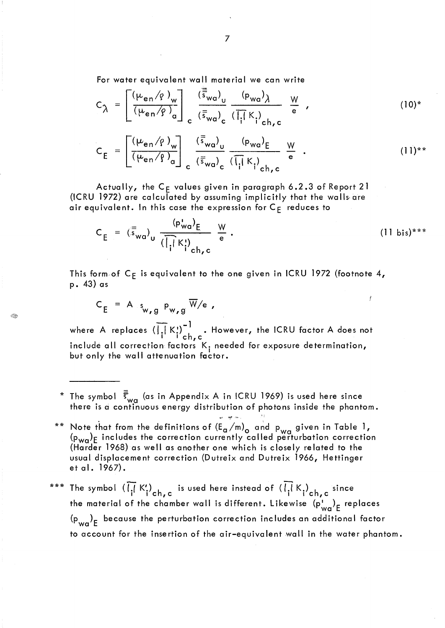For water equivalent wall material we can write

$$
C_{\lambda} = \left[ \frac{(\mu_{en}/\rho)_{w}}{(\mu_{en}/\rho)_{a}} \right]_{c} \frac{(\overline{\overline{s}}_{wa})_{u}}{(\overline{s}_{wa})_{c}} \frac{(\rho_{wa})_{\lambda}}{(\overline{I_{i}} \mid K_{i})_{ch,c}} \frac{W}{e} , \qquad (10)^{*}
$$

$$
C_{E} = \left[ \frac{\left(\mu_{en} / \rho\right)_{w}}{\left(\mu_{en} / \rho\right)_{q}} \right]_{c} \frac{\left(\overline{s}_{wa}\right)_{u}}{\left(\overline{s}_{wa}\right)_{c}} \frac{\left(\rho_{wa}\right)_{E}}{\left(\left(\frac{1}{1}\right)K\right)_{ch,c}} \frac{W}{e} . \tag{11)*}
$$

Actually, the  $\mathsf{C}_\mathsf{E}$  values given in paragraph 6.2.3 of Report 21 (lCRU 1972) are calculated by assuming implicitly that the walls· are air equivalent. In this case the expression for  $C_F$  reduces to

$$
C_{E} = (\overline{s}_{wa})_{u} \frac{(p_{wa}^{\dagger})_{E}}{(\overline{|\cdot|}K_{i}^{\dagger})_{ch,c}} \frac{W}{e}.
$$
 (11 bis)\*\*\*

f

This form of  $C_F$  is equivalent to the one given in ICRU 1972 (footnote 4, p. 43) as

$$
C_E = A_{\text{w, g}} P_{\text{w, g}} \overline{W}/e,
$$

Œ.

where A replaces  $(\overline{1,1} K!)^{-1}$  . However, the ICRU factor A does not  $i'$   $i'$ ch, c include all correction factors  $K_t$  needed for exposure determination, but only the wall attenuation factor.

\* The symbol  $\bar{s}_{wa}$  (as in Appendix A in ICRU 1969) is used here since there is a continuous energy distribution of photons inside the phantom.

- \*\* Note that from the definitions of  $(E_{\alpha}/m)_{\alpha}$  and p<sub>wa</sub> given in Table 1,  $(p_{wa})_E$  includes the correction currently called perturbation correction (Harder 1968) as well as another one which is closely related to the usual displacement correction (Dutreix and Dutreix 1966, Hettinger et al. 1967).
- \*\*\* The symbol  $(\overline{I_{i}}K_{i}^{\prime})_{\ch,c}$  is used here instead of  $(\overline{I_{i}}K_{i}^{\prime})_{\ch,c}$  since the material of the chamber wall is different. Likewise  $(p_{\text{w}q}^{\mu})_{E}$  replaces  $\left(\mathbf{p}_{\mathsf{wa}}\right)_\mathsf{E}$  because the perturbation correction includes an additional factor to account for the insertion of the air-equivalent wall in the water phantom.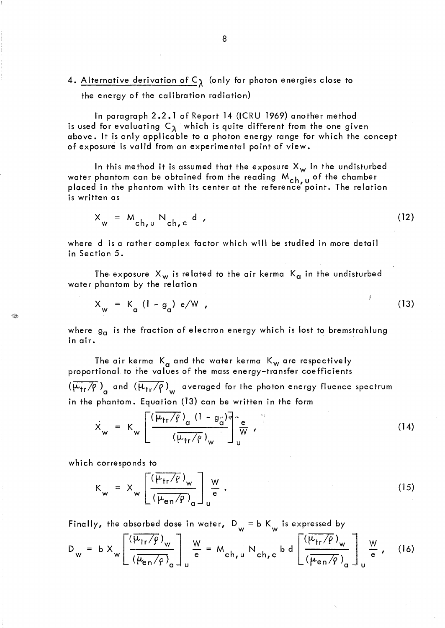# 4. Alternative derivation of  $C_{\lambda}$  (only for photon energies close to the energy of the calibration radiation)

In paragraph 2.2.1 of Report 14 (lCRU 1969) another method is used for evaluating  $C_{\lambda}$  which is quite different from the one given above. It is only applicable to a photon energy range for which the concept of exposure is valid from an experimental point of view.

In this method it is assumed that the exposure  $X_w$  in the undisturbed water phantom can be obtained from the reading M<sub>ch.u</sub> of the chamber placed in the phantom with its center at the reference' point. The relation is written as

$$
X_w = M_{ch, u} N_{ch, c} d,
$$
 (12)

where d is a rather complex factor which will be studied in more detail in Section 5.

The exposure  $X_w$  is related to the air kerma  $K_a$  in the undisturbed water phantom by the relation

$$
X_w = K_a (1 - g_a) e/W ,
$$
 (13)

where g<sub>a</sub> is the fraction of electron energy which is lost to bremstrahlung in air.

The air kerma  $K_{\alpha}$  and the water kerma  $K_{w}$  are respectively proportional to the values of the mass energy-transfer coefficients  $\overline{(\mu_{\sf tr}/\rho\,)}_{\sf q}$  and  $\overline{(\mu_{\sf tr}/\rho\,)}_{\sf w}$  averaged for the photon energy fluence spectrum in the phantom. Equation (13) can be written in the form

$$
\dot{X}_{w} = K_{w} \left[ \frac{(\overline{\mu_{tr}}/\overline{\rho})_{\alpha} (1 - g_{\alpha})_{\alpha}}{(\overline{\mu_{tr}}/\overline{\rho})_{w}} \right]_{0}^{\infty}.
$$
 (14)

which corresponds to

Q,

$$
K_{w} = X_{w} \left[ \frac{\left(\overline{\mu_{tr}}/\rho\right)_{w}}{\left(\overline{\mu_{en}}/\rho\right)_{\alpha}} \right]_{w} \frac{W}{e} . \qquad (15)
$$

Finally, the absorbed dose in water,  $D_w = b K_w$  is expressed by

$$
D_{w} = b X_{w} \left[ \frac{(\overline{\mu_{tr}}/\overline{\rho})_{w}}{(\overline{\mu_{en}}/\overline{\rho})_{a}} \right]_{u} \stackrel{W}{=} M_{ch, u} N_{ch, c} b d \left[ \frac{(\overline{\mu_{tr}}/\overline{\rho})_{w}}{(\overline{\mu_{en}}/\overline{\rho})_{a}} \right]_{u} \stackrel{W}{=} (16)
$$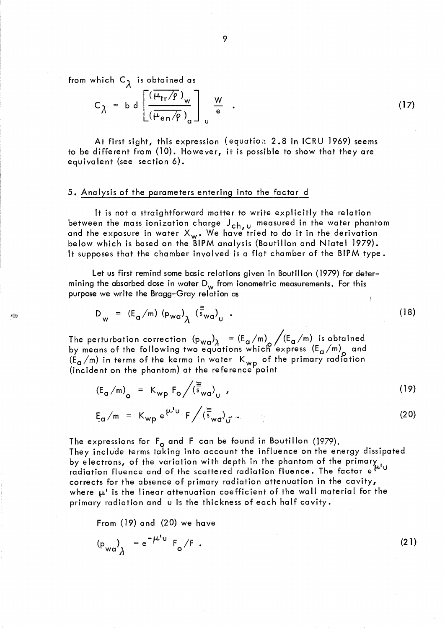from which  $C_{\lambda}$  is obtained as

$$
C_{\lambda} = b d \left[ \frac{\left( \overline{\mu_{tr}/g} \right)_{w}}{\left( \overline{\mu_{en}/g} \right)_{q}} \right]_{w} \frac{W}{e}
$$

At first sight, this expression (equation 2.8 in ICRU 1969) seems to be different from (10). However, it is possible to show that they are equivalent (see section 6).

 $(17)$ 

(21)

### 5. Analysis of the parameters entering into the factor d

It is not a straightforward matter to write explicitly the relation between the mass ionization charge J<sub>ch, u</sub> measured in the water phantom and the exposure in water  $\mathtt{X}_{\mathbf{w}}$ . We have tried to do it in the derivation below which is based on the BIPM analysis (Boutillon and Niatel 1979). It supposes that the chamber involved is a flat chamber of the BIPM type.

Let us first remind some basic relations given in Boutillon (1979) for determining the absorbed dose in water  $D_w$  from ionometric measurements. For this purpose we write the Bragg-Gray relation as

$$
D_{w} = (E_{\alpha}/m) (p_{wa})_{\lambda} (\overline{\overline{s}}_{wa})_{u} .
$$
 (18)

The perturbation correction  $(p_{wa})_{\lambda}$  = (E<sub>a</sub>/m)  $/(E_{\alpha}/m)$  is obtained by means of the following two equations which express  $(\mathsf{E}_\mathsf{a} / \mathsf{m})$  and (E<sub>a</sub>/m) in terms of the kerma in water  $K_{\mathsf{wn}}$  of the primary radiation (incident on the phantom) at the reference point

$$
\left(E_{\alpha}/m\right)_{o} = K_{wp} F_{o} / (\overline{\overline{s}}_{wa})_{u} \qquad (19)
$$

$$
E_{\alpha}/m = K_{wp} e^{\mu^1 u} F / (\overline{\overline{s}}_{w\alpha})_{\sigma^2} \qquad (20)
$$

The expressions for  $F_{o}$  and F can be found in Boutillon (1979). They include terms taking into account the influence on the energy dissipated by electrons, of the variation with depth in the phantom of the primary  $\mathbf{I}_{\mathbf{I}}$ radiation fluence and of the scattered radiation fluence. The factor e $^{\boldsymbol{\mu}\cdot \boldsymbol{0}}$ corrects for the absence of primary radiation attenuation in the cavity, where  $\mu^i$  is the linear attenuation coefficient of the wall material for the primary radiation and u is the thickness of each half cavity.

From (19) and (20) we have

$$
(p_{wa})_{\lambda} = e^{-\mu' u} F_o / F.
$$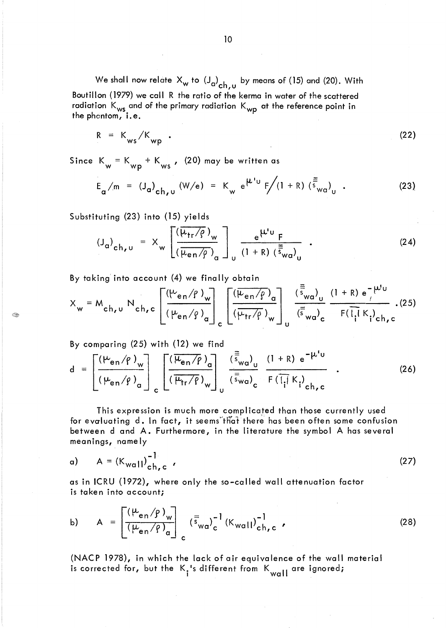We shall now relate  $X_{\mathsf{w}}$  to  $\left(\mathsf{J}_{\mathsf{a}}\right)_{\mathsf{ch},\mathsf{u}}$  by means of (15) and (20). With Boutillon (1979) we call R the ratio of the kerma in water of the scattered radiation  $K_{\text{ws}}$  and of the primary radiation  $K_{\text{wp}}$  at the reference point in the phantom, i.e.

$$
R = K_{ws} / K_{wp} \tag{22}
$$

Since  $K_w = K_{wp} + K_{ws}$ , (20) may be written as

$$
E_{\alpha}/m = (J_{\alpha})_{ch, u} (W/e) = K_{w} e^{\mu' v} F/(1 + R) (\frac{E}{s_{wa}})_{u}
$$
 (23)

Substituting (23) into (15) yields

$$
(J_{\alpha})_{ch, U} = X_{W} \left[ \frac{(\overline{\mu_{tr}}/\overline{\rho})_{W}}{(\overline{\mu_{en}}/\overline{\rho})_{\alpha}} \right]_{U} \frac{e^{\mu' U} F}{(1 + R) (\overline{\overline{s}}_{W\alpha})_{U}} .
$$
 (24)

By taking into account (4) we finally obtain

$$
X_{w} = M_{ch, u} N_{ch, c} \left[ \frac{\left(\mu_{en}/\rho\right)_{w}}{\left(\mu_{en}/\rho\right)_{a}} \right]_{c} \left[ \frac{\left(\overline{\mu_{en}/\rho}\right)_{a}}{\left(\overline{\mu_{tr}/\rho}\right)_{w}} \right]_{u} \frac{\left(\overline{\overline{s}}_{wa}\right)_{u}}{\left(\overline{\overline{s}}_{wa}\right)_{c}} \frac{\left(1 + R\right) e^{-\mu_{u}}}{F\left(\overline{l_{i}}lK_{i}\right)_{ch, c}} \tag{25}
$$

By comparing (25) with (12) we find

 $<\frac{1}{2}$ 

$$
d = \left[\frac{(\mu_{en}/\rho)_{w}}{(\mu_{en}/\rho)_{\alpha}}\right]_{c} \left[\frac{(\overline{\mu_{en}/\rho})_{\alpha}}{(\overline{\mu_{tr}/\rho})_{w}}\right]_{U} \frac{(\overline{\overline{s}}_{wa})_{u}}{(\overline{s}_{wa})_{c}} \frac{(1+R) e^{-\mu^{t}U}}{F(\overline{t}|\overline{K})_{ch,c}}.
$$
 (26)

This expression is much more complicated than those currently used for evaluating d. In fact, it seems that there has been often some confusion between d and A. Furthermore, in the literature the symbol A has several meanings, name Iy

$$
A = (K_{\text{wall}})^{-1}_{\text{ch,c}} \tag{27}
$$

as in ICRU (1972), where only the so-called wall attenuation factor is taken into account;

b) 
$$
A = \left[ \frac{(\mu_{en}/\rho)_{w}}{(\mu_{en}/\rho)_{\alpha}} \right]_{c} (\bar{s}_{wa}^{'}c)^{-1} (K_{wa}I l)^{-1}_{ch,c}
$$
 (28)

(NACP 1978), in which the lack of air equivalence of the wall material is corrected for, but the  $K_i$ 's different from  $K_{wall}$  are ignored;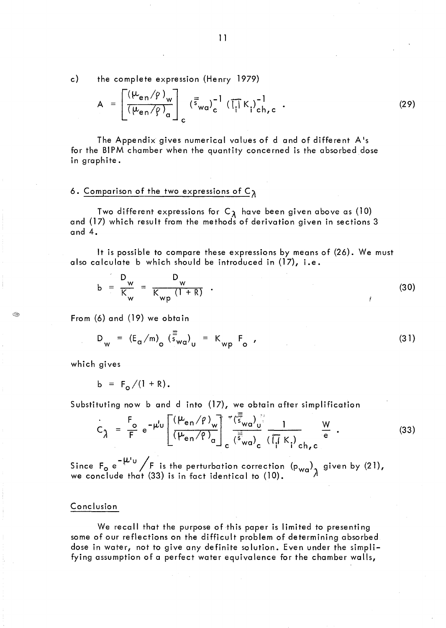c) the complete expression (Henry 1979)

$$
A = \left[\frac{(\mu_{en}/\rho)_{w}}{(\mu_{en}/\rho)_{\alpha}}\right]_{c} (\overline{\overline{s}}_{wa})_{c}^{-1} (\overline{I_{i}} K_{i})_{ch,c}^{-1}.
$$
 (29)

The Appendix gives numerical values of d and of different A's for the BIPM chamber when the quantity concerned is the absorbed dose in graphite.

## 6. Comparison of the two expressions of *CA*

Two different expressions for  $C_{\lambda}$  have been given above as (10) and (17) which result from the methods of derivation given in sections 3 and 4.

It is possible to compare these expressions by means of (26). We must also calculate b which should be introduced in (17), i.e.

$$
b = \frac{D_w}{K_w} = \frac{D_w}{K_{wp}(1+R)} \tag{30}
$$

From (6) and (19) we obtain

$$
D_w = (E_a/m)_o (\frac{m}{s}w_a)_u = K_{wp} F_o
$$
 (31)

which gives

$$
b = F_0/(1 + R)
$$
.

Substituting now b and d into (17), we obtain after simplification

$$
C_{\lambda} = \frac{F_o}{F} e^{-\mu' u} \left[ \frac{(\mu_{en}/\rho)_{w}}{(\mu_{en}/\rho)_{\alpha}} \right]_{c}^{\pi} \frac{(\overline{\overline{s}}_{wa})_{u}}{(\overline{\overline{s}}_{wa})_{c}} \frac{1}{(\overline{I_{i}} K_{i})_{ch,c}} \frac{W}{e} .
$$
 (33)

Since F<sub>o</sub> e<sup>-Wu</sup> /F is the perturbation correction  $(p_{wa})$  given by (21), we conclude that (33) is in fact identical to (10).  $\mathbb{R}^n$  A

## Conclusion

We recall that the purpose of this paper is limited to presenting some of our reflections on the difficult problem of determining absorbed dose in water, not to give any definite solution. Even under the simplifying assumption of a perfect water equivalence for the chamber walls,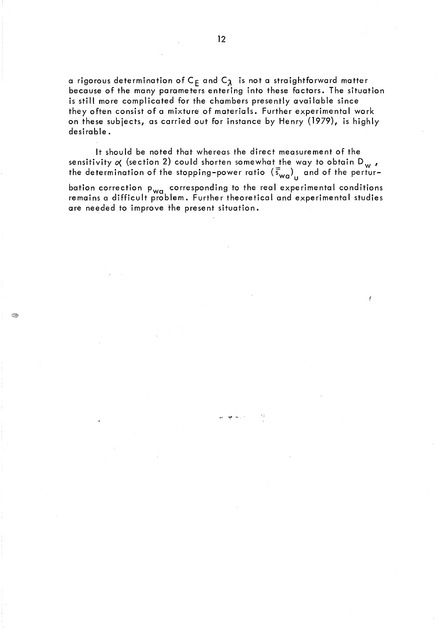a rigorous determination of C<sub>E</sub> and C<sub> $\lambda$ </sub> is not a straightforward matter because of the many parameters entering into these factors. The situation is still more complicated for the chambers presently available since they often consist of a mixture of materials. Further experimental work on these subjects, as carried out for instance by Henry (1979), is highly desirable.

It should be noted that whereas the direct measurement of the sensitivity  $\alpha$  (section 2) could shorten somewhat the way to obtain D<sub>w</sub>, the determination of the stopping-power ratio  $\overline{(\overline{s}_{wa})}_{\text{U}}$  and of the perturbation correction p<sub>wa</sub> corresponding to the real experimental conditions remains a difficult problem. Further theoretical and experimental studies are needed to improve the present situation.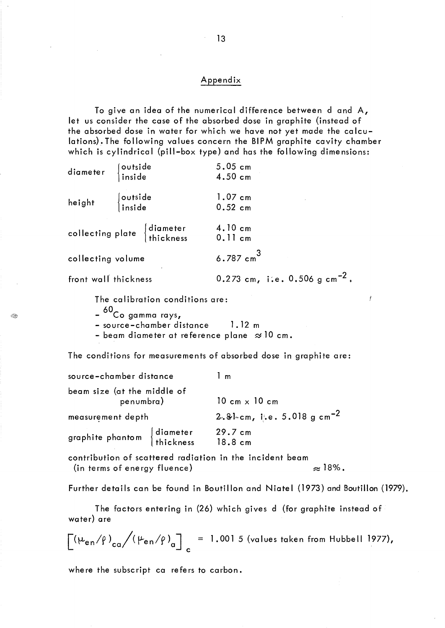## Appendix

To give an idea of the numerical difference between d and A, let us consider the case of the absorbed dose in graphite (instead of the absorbed dose in water for which we have not yet made the calculations). The following values concern the BIPM graphite cavity chamber which is cylindrical (pill-box type) and has the following dimensions:

| diameter                                                                                                                                                             | outside  <br>  inside                                                                                                | 5.05cm<br>4.50 cm                                |
|----------------------------------------------------------------------------------------------------------------------------------------------------------------------|----------------------------------------------------------------------------------------------------------------------|--------------------------------------------------|
| height                                                                                                                                                               | $\begin{cases} \text{outside} \\ \text{inside} \end{cases}$                                                          | $1.07 \text{ cm}$<br>0.52cm                      |
|                                                                                                                                                                      | collecting plate $\begin{cases} \text{diameter} & 4.10 \text{ cm} \\ \text{thickness} & 0.11 \text{ cm} \end{cases}$ |                                                  |
| collecting volume                                                                                                                                                    |                                                                                                                      | $6.787 \text{ cm}^3$                             |
| front wall thickness                                                                                                                                                 |                                                                                                                      | $0.273$ cm, i.e. $0.506$ g cm <sup>-2</sup> .    |
| The calibration conditions are:<br>- <sup>60</sup> Co gamma rays <b>,</b><br>- source-chamber distance 1.12 m<br>- beam diameter at reference plane $\approx$ 10 cm. |                                                                                                                      |                                                  |
| The conditions for measurements of absorbed dose in graphite are:                                                                                                    |                                                                                                                      |                                                  |
| source-chamber distance                                                                                                                                              |                                                                                                                      | 1 <sub>m</sub>                                   |
| beam size (at the middle of<br>penumbra)                                                                                                                             |                                                                                                                      | $10 cm \times 10 cm$                             |
| measurement depth                                                                                                                                                    |                                                                                                                      | $2.8$ $\,\mathrm{kcm}$ , i.e. 5.018 g cm $^{-2}$ |
|                                                                                                                                                                      | graphite phantom $\begin{cases} \text{diameter} & 29.7 \text{ cm} \\ \text{thickness} & 18.8 \text{ cm} \end{cases}$ |                                                  |
|                                                                                                                                                                      |                                                                                                                      |                                                  |

ľ

contribution of scattered radiation in the incident beam (in terms of energy fluence)  $\approx 18\%$ .

Further details can be found in Boutillon and Niatel (1973) and Boutillon (1979).

The factors entering in (26) which gives d (for graphite instead of water) are

 $\left[\frac{(\mu_{en}/\rho)}{c\alpha}/(\mu_{en}/\rho)\right]$  = 1.001 5 (values taken from Hubbell 1977), c

where the subscript ca refers to carbon.

- R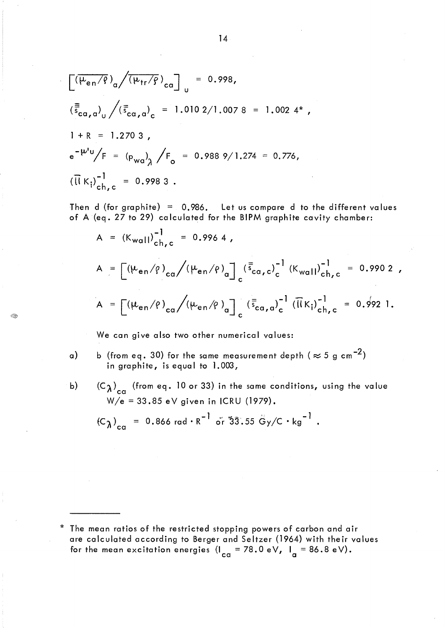$$
\left[\frac{(\mu_{en}/\rho)}{(\mu_{tr}/\rho)}_{\alpha}\right]_{U} = 0.998,
$$
\n
$$
\left(\frac{\pi}{s_{ca,a}}\right)_{U} / \left(\frac{\pi}{s_{ca,a}}\right)_{C} = 1.0102/1.0078 = 1.0024^{*},
$$
\n
$$
1 + R = 1.2703,
$$
\n
$$
e^{-\mu U} / F = (p_{wa})_{\lambda} / F_{o} = 0.9889/1.274 = 0.776,
$$
\n
$$
\left(\frac{\pi}{b_{ch,c}}\right)_{ch,c}^{-1} = 0.9983.
$$

Then d (for graphite) =  $0.986$ . Let us compare d to the different values of A (eq. 27 to 29) calculated for the BIPM graphite cavity chamber:

$$
A = (K_{wall})_{ch,c}^{-1} = 0.9964,
$$

$$
A = \left[ (\mu_{en}/\rho)_{ca} / (\mu_{en}/\rho)_{a} \right]_{c} (\bar{\bar{s}}_{ca,c})_{c}^{-1} (K_{wall})_{ch,c}^{-1} = 0.9902
$$
  

$$
A = \left[ (\mu_{en}/\rho)_{ca} / (\mu_{en}/\rho)_{a} \right]_{c} (\bar{\bar{s}}_{ca,a})_{c}^{-1} (\bar{I}K_{i})_{ch,c}^{-1} = 0.9921.
$$

We can give also two other numerical values:

- a) b (from eq. 30) for the same measurement depth ( $\approx 5$  g cm<sup>-2</sup>) in graphite, is equal to 1.003,
- b)  $(C_{\lambda})_{c\alpha}$  (from eq. 10 or 33) in the same conditions, using the value  $^{\prime\prime}$  ca W/e = 33.85 eV given in ICRU (1979).

$$
(C_{\lambda})_{ca} = 0.866 \text{ rad} \cdot \text{R}^{-1} \text{ or } 33.55 \text{ Gy/C} \cdot \text{kg}^{-1}.
$$

\* The mean ratios of the restricted stopping powers of carbon and air are calculated according to Berger and Seltzer (1964) with their values for the mean excitation energies  $(I_{ca} = 78.0 eV, I_{a} = 86.8 eV)$ .